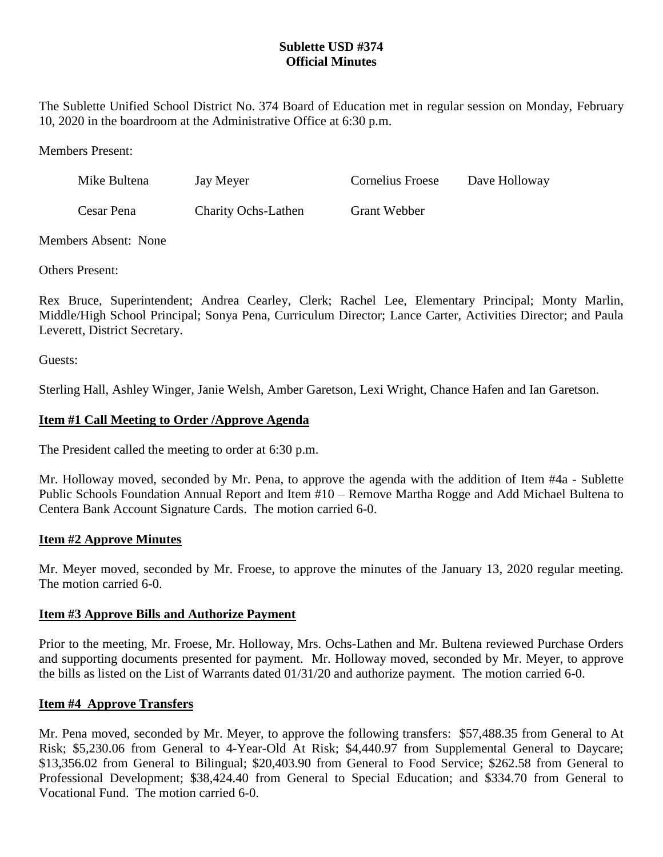# **Sublette USD #374 Official Minutes**

The Sublette Unified School District No. 374 Board of Education met in regular session on Monday, February 10, 2020 in the boardroom at the Administrative Office at 6:30 p.m.

Members Present:

| Mike Bultena | Jay Meyer                  | <b>Cornelius Froese</b> | Dave Holloway |
|--------------|----------------------------|-------------------------|---------------|
| Cesar Pena   | <b>Charity Ochs-Lathen</b> | Grant Webber            |               |

Members Absent: None

Others Present:

Rex Bruce, Superintendent; Andrea Cearley, Clerk; Rachel Lee, Elementary Principal; Monty Marlin, Middle/High School Principal; Sonya Pena, Curriculum Director; Lance Carter, Activities Director; and Paula Leverett, District Secretary.

Guests:

Sterling Hall, Ashley Winger, Janie Welsh, Amber Garetson, Lexi Wright, Chance Hafen and Ian Garetson.

## **Item #1 Call Meeting to Order /Approve Agenda**

The President called the meeting to order at 6:30 p.m.

Mr. Holloway moved, seconded by Mr. Pena, to approve the agenda with the addition of Item #4a - Sublette Public Schools Foundation Annual Report and Item #10 – Remove Martha Rogge and Add Michael Bultena to Centera Bank Account Signature Cards. The motion carried 6-0.

# **Item #2 Approve Minutes**

Mr. Meyer moved, seconded by Mr. Froese, to approve the minutes of the January 13, 2020 regular meeting. The motion carried 6-0.

### **Item #3 Approve Bills and Authorize Payment**

Prior to the meeting, Mr. Froese, Mr. Holloway, Mrs. Ochs-Lathen and Mr. Bultena reviewed Purchase Orders and supporting documents presented for payment. Mr. Holloway moved, seconded by Mr. Meyer, to approve the bills as listed on the List of Warrants dated 01/31/20 and authorize payment. The motion carried 6-0.

# **Item #4 Approve Transfers**

Mr. Pena moved, seconded by Mr. Meyer, to approve the following transfers: \$57,488.35 from General to At Risk; \$5,230.06 from General to 4-Year-Old At Risk; \$4,440.97 from Supplemental General to Daycare; \$13,356.02 from General to Bilingual; \$20,403.90 from General to Food Service; \$262.58 from General to Professional Development; \$38,424.40 from General to Special Education; and \$334.70 from General to Vocational Fund. The motion carried 6-0.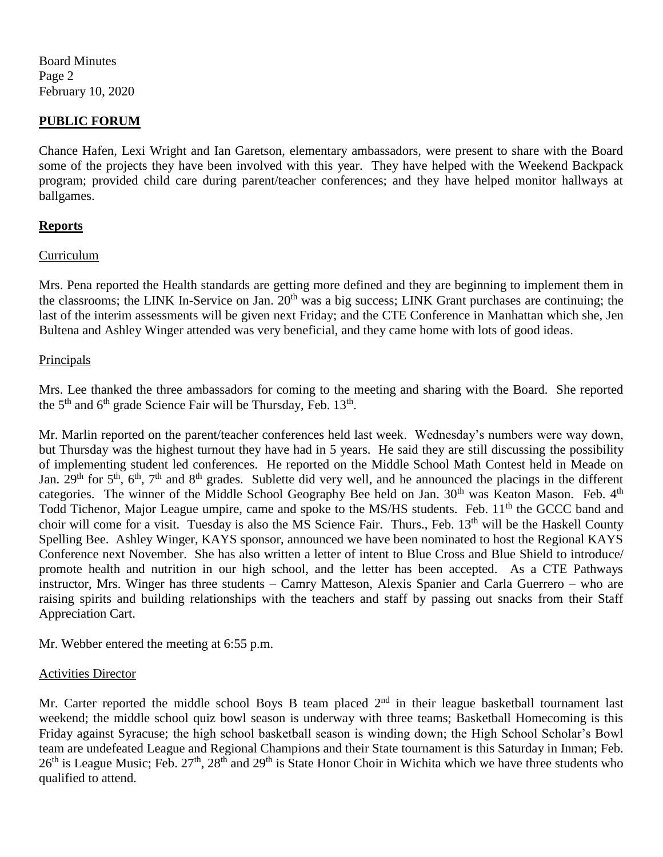Board Minutes Page 2 February 10, 2020

## **PUBLIC FORUM**

Chance Hafen, Lexi Wright and Ian Garetson, elementary ambassadors, were present to share with the Board some of the projects they have been involved with this year. They have helped with the Weekend Backpack program; provided child care during parent/teacher conferences; and they have helped monitor hallways at ballgames.

### **Reports**

### Curriculum

Mrs. Pena reported the Health standards are getting more defined and they are beginning to implement them in the classrooms; the LINK In-Service on Jan. 20<sup>th</sup> was a big success; LINK Grant purchases are continuing; the last of the interim assessments will be given next Friday; and the CTE Conference in Manhattan which she, Jen Bultena and Ashley Winger attended was very beneficial, and they came home with lots of good ideas.

### **Principals**

Mrs. Lee thanked the three ambassadors for coming to the meeting and sharing with the Board. She reported the  $5<sup>th</sup>$  and  $6<sup>th</sup>$  grade Science Fair will be Thursday, Feb. 13<sup>th</sup>.

Mr. Marlin reported on the parent/teacher conferences held last week. Wednesday's numbers were way down, but Thursday was the highest turnout they have had in 5 years. He said they are still discussing the possibility of implementing student led conferences. He reported on the Middle School Math Contest held in Meade on Jan.  $29<sup>th</sup>$  for  $5<sup>th</sup>$ ,  $6<sup>th</sup>$ ,  $7<sup>th</sup>$  and  $8<sup>th</sup>$  grades. Sublette did very well, and he announced the placings in the different categories. The winner of the Middle School Geography Bee held on Jan. 30<sup>th</sup> was Keaton Mason. Feb. 4<sup>th</sup> Todd Tichenor, Major League umpire, came and spoke to the MS/HS students. Feb. 11<sup>th</sup> the GCCC band and choir will come for a visit. Tuesday is also the MS Science Fair. Thurs., Feb.  $13<sup>th</sup>$  will be the Haskell County Spelling Bee. Ashley Winger, KAYS sponsor, announced we have been nominated to host the Regional KAYS Conference next November. She has also written a letter of intent to Blue Cross and Blue Shield to introduce/ promote health and nutrition in our high school, and the letter has been accepted. As a CTE Pathways instructor, Mrs. Winger has three students – Camry Matteson, Alexis Spanier and Carla Guerrero – who are raising spirits and building relationships with the teachers and staff by passing out snacks from their Staff Appreciation Cart.

Mr. Webber entered the meeting at 6:55 p.m.

### Activities Director

Mr. Carter reported the middle school Boys B team placed  $2<sup>nd</sup>$  in their league basketball tournament last weekend; the middle school quiz bowl season is underway with three teams; Basketball Homecoming is this Friday against Syracuse; the high school basketball season is winding down; the High School Scholar's Bowl team are undefeated League and Regional Champions and their State tournament is this Saturday in Inman; Feb.  $26<sup>th</sup>$  is League Music; Feb.  $27<sup>th</sup>$ ,  $28<sup>th</sup>$  and  $29<sup>th</sup>$  is State Honor Choir in Wichita which we have three students who qualified to attend.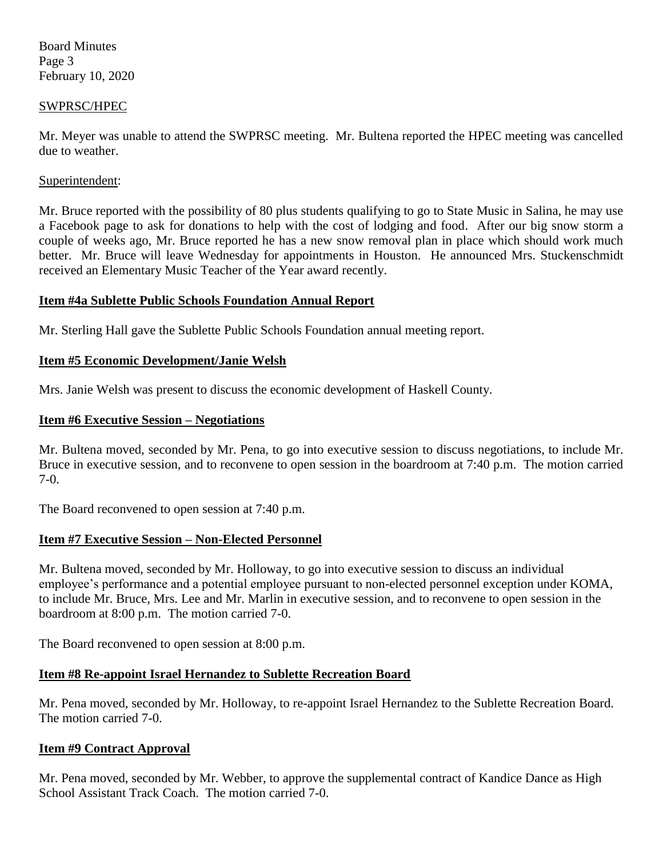Board Minutes Page 3 February 10, 2020

#### SWPRSC/HPEC

Mr. Meyer was unable to attend the SWPRSC meeting. Mr. Bultena reported the HPEC meeting was cancelled due to weather.

#### Superintendent:

Mr. Bruce reported with the possibility of 80 plus students qualifying to go to State Music in Salina, he may use a Facebook page to ask for donations to help with the cost of lodging and food. After our big snow storm a couple of weeks ago, Mr. Bruce reported he has a new snow removal plan in place which should work much better. Mr. Bruce will leave Wednesday for appointments in Houston. He announced Mrs. Stuckenschmidt received an Elementary Music Teacher of the Year award recently.

### **Item #4a Sublette Public Schools Foundation Annual Report**

Mr. Sterling Hall gave the Sublette Public Schools Foundation annual meeting report.

## **Item #5 Economic Development/Janie Welsh**

Mrs. Janie Welsh was present to discuss the economic development of Haskell County.

### **Item #6 Executive Session – Negotiations**

Mr. Bultena moved, seconded by Mr. Pena, to go into executive session to discuss negotiations, to include Mr. Bruce in executive session, and to reconvene to open session in the boardroom at 7:40 p.m. The motion carried 7-0.

The Board reconvened to open session at 7:40 p.m.

# **Item #7 Executive Session – Non-Elected Personnel**

Mr. Bultena moved, seconded by Mr. Holloway, to go into executive session to discuss an individual employee's performance and a potential employee pursuant to non-elected personnel exception under KOMA, to include Mr. Bruce, Mrs. Lee and Mr. Marlin in executive session, and to reconvene to open session in the boardroom at 8:00 p.m. The motion carried 7-0.

The Board reconvened to open session at 8:00 p.m.

# **Item #8 Re-appoint Israel Hernandez to Sublette Recreation Board**

Mr. Pena moved, seconded by Mr. Holloway, to re-appoint Israel Hernandez to the Sublette Recreation Board. The motion carried 7-0.

# **Item #9 Contract Approval**

Mr. Pena moved, seconded by Mr. Webber, to approve the supplemental contract of Kandice Dance as High School Assistant Track Coach. The motion carried 7-0.